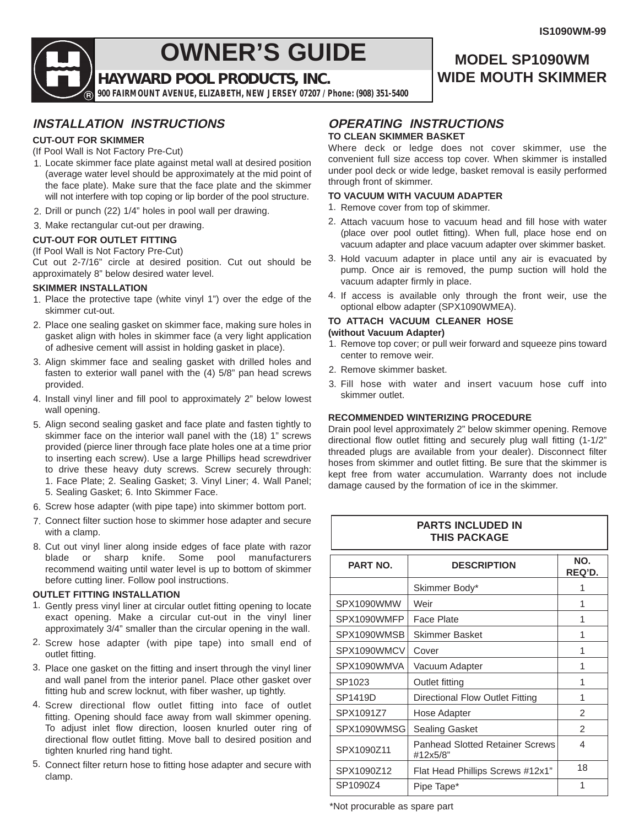

# **OWNER'S GUIDE**

**HAYWARD POOL PRODUCTS, INC.**

**900 FAIRMOUNT AVENUE, ELIZABETH, NEW JERSEY 07207 / Phone: (908) 351-5400**

### **INSTALLATION INSTRUCTIONS OPERATING INSTRUCTIONS**

### **CUT-OUT FOR SKIMMER**

(If Pool Wall is Not Factory Pre-Cut)

- 1. Locate skimmer face plate against metal wall at desired position (average water level should be approximately at the mid point of the face plate). Make sure that the face plate and the skimmer will not interfere with top coping or lip border of the pool structure.
- 2. Drill or punch (22) 1/4" holes in pool wall per drawing.
- 3. Make rectangular cut-out per drawing.

### **CUT-OUT FOR OUTLET FITTING**

(If Pool Wall is Not Factory Pre-Cut)

Cut out 2-7/16" circle at desired position. Cut out should be approximately 8" below desired water level.

### **SKIMMER INSTALLATION**

- 1. Place the protective tape (white vinyl 1") over the edge of the skimmer cut-out.
- 2. Place one sealing gasket on skimmer face, making sure holes in gasket align with holes in skimmer face (a very light application of adhesive cement will assist in holding gasket in place).
- 3. Align skimmer face and sealing gasket with drilled holes and fasten to exterior wall panel with the (4) 5/8" pan head screws provided.
- 4. Install vinyl liner and fill pool to approximately 2" below lowest wall opening.
- 5. Align second sealing gasket and face plate and fasten tightly to skimmer face on the interior wall panel with the (18) 1" screws provided (pierce liner through face plate holes one at a time prior to inserting each screw). Use a large Phillips head screwdriver to drive these heavy duty screws. Screw securely through: 1. Face Plate; 2. Sealing Gasket; 3. Vinyl Liner; 4. Wall Panel; 5. Sealing Gasket; 6. Into Skimmer Face.
- 6. Screw hose adapter (with pipe tape) into skimmer bottom port.
- 7. Connect filter suction hose to skimmer hose adapter and secure with a clamp.
- 8. Cut out vinyl liner along inside edges of face plate with razor blade or sharp knife. Some pool manufacturers recommend waiting until water level is up to bottom of skimmer before cutting liner. Follow pool instructions.

### **OUTLET FITTING INSTALLATION**

- 1. Gently press vinyl liner at circular outlet fitting opening to locate exact opening. Make a circular cut-out in the vinyl liner approximately 3/4" smaller than the circular opening in the wall.
- 2. Screw hose adapter (with pipe tape) into small end of outlet fitting.
- 3. Place one gasket on the fitting and insert through the vinyl liner and wall panel from the interior panel. Place other gasket over fitting hub and screw locknut, with fiber washer, up tightly.
- 4. Screw directional flow outlet fitting into face of outlet fitting. Opening should face away from wall skimmer opening. To adjust inlet flow direction, loosen knurled outer ring of directional flow outlet fitting. Move ball to desired position and tighten knurled ring hand tight.
- 5. Connect filter return hose to fitting hose adapter and secure with clamp.

## **TO CLEAN SKIMMER BASKET**

Where deck or ledge does not cover skimmer, use the convenient full size access top cover. When skimmer is installed under pool deck or wide ledge, basket removal is easily performed through front of skimmer.

### **TO VACUUM WITH VACUUM ADAPTER**

- 1. Remove cover from top of skimmer.
- 2. Attach vacuum hose to vacuum head and fill hose with water (place over pool outlet fitting). When full, place hose end on vacuum adapter and place vacuum adapter over skimmer basket.
- 3. Hold vacuum adapter in place until any air is evacuated by pump. Once air is removed, the pump suction will hold the vacuum adapter firmly in place.
- 4. If access is available only through the front weir, use the optional elbow adapter (SPX1090WMEA).

### **TO ATTACH VACUUM CLEANER HOSE (without Vacuum Adapter)**

- 1. Remove top cover; or pull weir forward and squeeze pins toward center to remove weir.
- 2. Remove skimmer basket.
- Fill hose with water and insert vacuum hose cuff into 3. skimmer outlet.

### **RECOMMENDED WINTERIZING PROCEDURE**

Drain pool level approximately 2" below skimmer opening. Remove directional flow outlet fitting and securely plug wall fitting (1-1/2" threaded plugs are available from your dealer). Disconnect filter hoses from skimmer and outlet fitting. Be sure that the skimmer is kept free from water accumulation. Warranty does not include damage caused by the formation of ice in the skimmer.

| <b>PARTS INCLUDED IN</b><br><b>THIS PACKAGE</b> |                                                    |                |
|-------------------------------------------------|----------------------------------------------------|----------------|
| <b>PART NO.</b>                                 | <b>DESCRIPTION</b>                                 | NO.<br>REQ'D.  |
|                                                 | Skimmer Body*                                      | 1              |
| SPX1090WMW                                      | Weir                                               | 1              |
| SPX1090WMFP                                     | Face Plate                                         | 1              |
| SPX1090WMSB                                     | Skimmer Basket                                     | 1              |
| SPX1090WMCV                                     | Cover                                              | 1              |
| SPX1090WMVA                                     | Vacuum Adapter                                     | 1              |
| SP1023                                          | Outlet fitting                                     | 1              |
| SP1419D                                         | Directional Flow Outlet Fitting                    | 1              |
| SPX1091Z7                                       | Hose Adapter                                       | $\mathfrak{p}$ |
| SPX1090WMSG                                     | <b>Sealing Gasket</b>                              | $\mathcal{P}$  |
| SPX1090Z11                                      | <b>Panhead Slotted Retainer Screws</b><br>#12x5/8" | 4              |
| SPX1090Z12                                      | Flat Head Phillips Screws #12x1"                   | 18             |
| SP1090Z4                                        | Pipe Tape*                                         | 1              |

\*Not procurable as spare part

### **MODEL SP1090WM WIDE MOUTH SKIMMER**